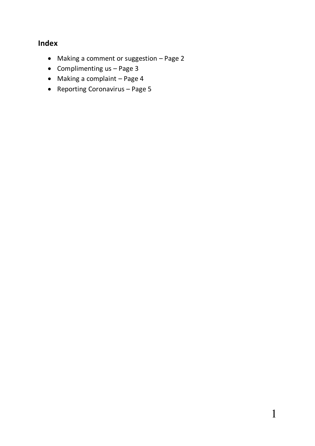# **Index**

- Making a comment or suggestion Page 2
- Complimenting  $us Page 3$
- Making a complaint Page 4
- Reporting Coronavirus Page 5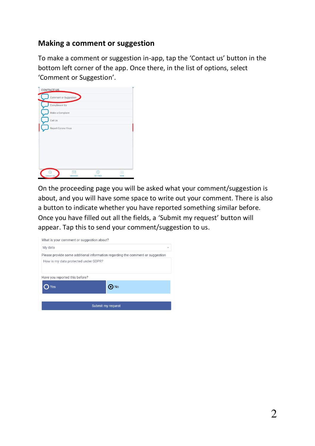#### **Making a comment or suggestion**

To make a comment or suggestion in-app, tap the 'Contact us' button in the bottom left corner of the app. Once there, in the list of options, select 'Comment or Suggestion'.

| <b>CONTACT US</b>   |                       |  |
|---------------------|-----------------------|--|
|                     | Comment or Suggestion |  |
| Compliment Us       |                       |  |
| Make a Complaint    |                       |  |
| Call Us             |                       |  |
| Report Corona Virus |                       |  |
|                     |                       |  |
|                     |                       |  |
|                     |                       |  |
|                     |                       |  |
|                     |                       |  |
|                     |                       |  |

On the proceeding page you will be asked what your comment/suggestion is about, and you will have some space to write out your comment. There is also a button to indicate whether you have reported something similar before. Once you have filled out all the fields, a 'Submit my request' button will appear. Tap this to send your comment/suggestion to us.

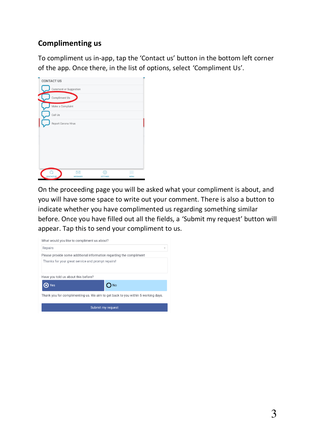# **Complimenting us**

To compliment us in-app, tap the 'Contact us' button in the bottom left corner of the app. Once there, in the list of options, select 'Compliment Us'.



On the proceeding page you will be asked what your compliment is about, and you will have some space to write out your comment. There is also a button to indicate whether you have complimented us regarding something similar before. Once you have filled out all the fields, a 'Submit my request' button will appear. Tap this to send your compliment to us.

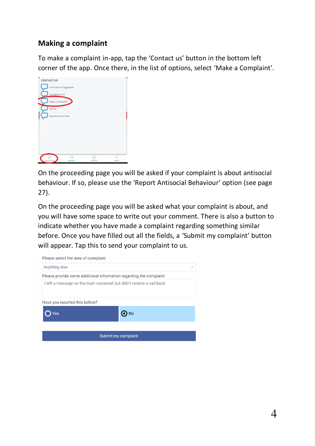## **Making a complaint**

To make a complaint in-app, tap the 'Contact us' button in the bottom left corner of the app. Once there, in the list of options, select 'Make a Complaint'.

| <b>CONTACT US</b>   |                       |    |  |
|---------------------|-----------------------|----|--|
|                     | Comment or Suggestion |    |  |
| Compliment Us       |                       |    |  |
| Make a Complaint    |                       |    |  |
| Call Us             |                       |    |  |
| Report Corona Virus |                       |    |  |
|                     |                       |    |  |
|                     |                       |    |  |
|                     |                       |    |  |
|                     |                       |    |  |
|                     |                       |    |  |
|                     |                       |    |  |
|                     | ⋉                     | ξŏ |  |

On the proceeding page you will be asked if your complaint is about antisocial behaviour. If so, please use the 'Report Antisocial Behaviour' option (see page 27).

On the proceeding page you will be asked what your complaint is about, and you will have some space to write out your comment. There is also a button to indicate whether you have made a complaint regarding something similar before. Once you have filled out all the fields, a 'Submit my complaint' button will appear. Tap this to send your complaint to us.

| Please select the area of complaint |                                                                        |
|-------------------------------------|------------------------------------------------------------------------|
| Anything else                       | ÷                                                                      |
|                                     | Please provide some additional information regarding the complaint     |
|                                     | I left a message on the main voicemail but didn't receive a call back. |
| Have you reported this before?      |                                                                        |
| es                                  |                                                                        |
|                                     |                                                                        |
|                                     | Submit my complaint                                                    |